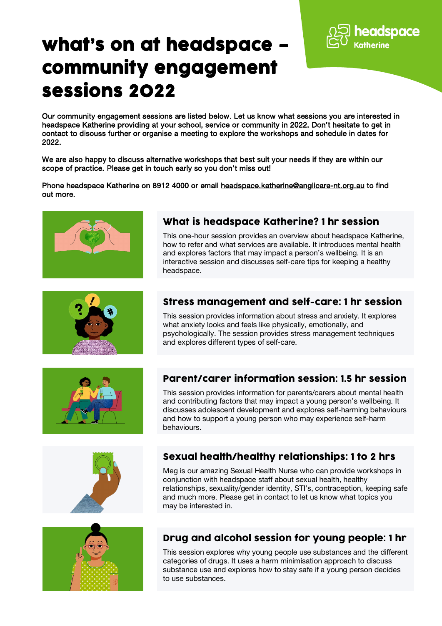# what's on at headspace – community engagement sessions 2022

Our community engagement sessions are listed below. Let us know what sessions you are interested in headspace Katherine providing at your school, service or community in 2022. Don't hesitate to get in contact to discuss further or organise a meeting to explore the workshops and schedule in dates for 2022.

We are also happy to discuss alternative workshops that best suit your needs if they are within our scope of practice. Please get in touch early so you don't miss out!

Phone headspace Katherine on 8912 4000 or email [headspace.katherine@anglicare-nt.org.au](mailto:headspace.katherine@anglicare-nt.org.au) to find out more.





This one-hour session provides an overview about headspace Katherine, how to refer and what services are available. It introduces mental health and explores factors that may impact a person's wellbeing. It is an interactive session and discusses self-care tips for keeping a healthy headspace.



#### Stress management and self-care: 1 hr session

This session provides information about stress and anxiety. It explores what anxiety looks and feels like physically, emotionally, and psychologically. The session provides stress management techniques and explores different types of self-care.



### Parent/carer information session: 1.5 hr session

This session provides information for parents/carers about mental health and contributing factors that may impact a young person's wellbeing. It discusses adolescent development and explores self-harming behaviours and how to support a young person who may experience self-harm behaviours.





# Sexual health/healthy relationships: 1 to 2 hrs

Meg is our amazing Sexual Health Nurse who can provide workshops in conjunction with headspace staff about sexual health, healthy relationships, sexuality/gender identity, STI's, contraception, keeping safe and much more. Please get in contact to let us know what topics you may be interested in.

# Drug and alcohol session for young people: 1 hr

This session explores why young people use substances and the different categories of drugs. It uses a harm minimisation approach to discuss substance use and explores how to stay safe if a young person decides to use substances.